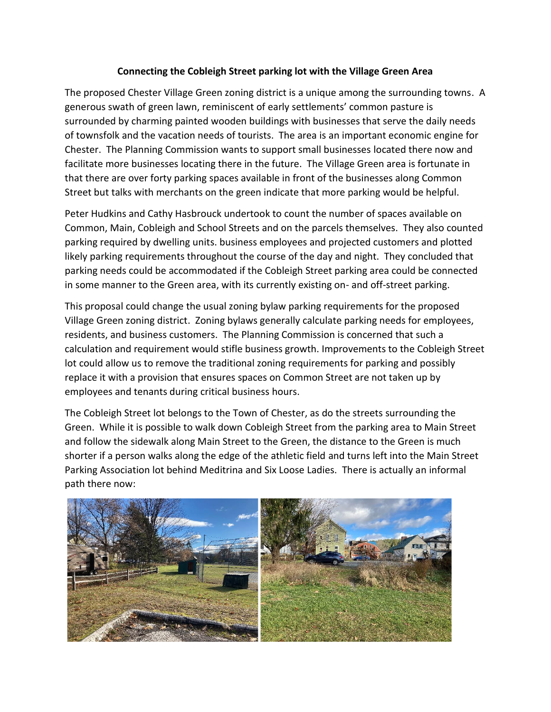## **Connecting the Cobleigh Street parking lot with the Village Green Area**

The proposed Chester Village Green zoning district is a unique among the surrounding towns. A generous swath of green lawn, reminiscent of early settlements' common pasture is surrounded by charming painted wooden buildings with businesses that serve the daily needs of townsfolk and the vacation needs of tourists. The area is an important economic engine for Chester. The Planning Commission wants to support small businesses located there now and facilitate more businesses locating there in the future. The Village Green area is fortunate in that there are over forty parking spaces available in front of the businesses along Common Street but talks with merchants on the green indicate that more parking would be helpful.

Peter Hudkins and Cathy Hasbrouck undertook to count the number of spaces available on Common, Main, Cobleigh and School Streets and on the parcels themselves. They also counted parking required by dwelling units. business employees and projected customers and plotted likely parking requirements throughout the course of the day and night. They concluded that parking needs could be accommodated if the Cobleigh Street parking area could be connected in some manner to the Green area, with its currently existing on- and off-street parking.

This proposal could change the usual zoning bylaw parking requirements for the proposed Village Green zoning district. Zoning bylaws generally calculate parking needs for employees, residents, and business customers. The Planning Commission is concerned that such a calculation and requirement would stifle business growth. Improvements to the Cobleigh Street lot could allow us to remove the traditional zoning requirements for parking and possibly replace it with a provision that ensures spaces on Common Street are not taken up by employees and tenants during critical business hours.

The Cobleigh Street lot belongs to the Town of Chester, as do the streets surrounding the Green. While it is possible to walk down Cobleigh Street from the parking area to Main Street and follow the sidewalk along Main Street to the Green, the distance to the Green is much shorter if a person walks along the edge of the athletic field and turns left into the Main Street Parking Association lot behind Meditrina and Six Loose Ladies. There is actually an informal path there now: